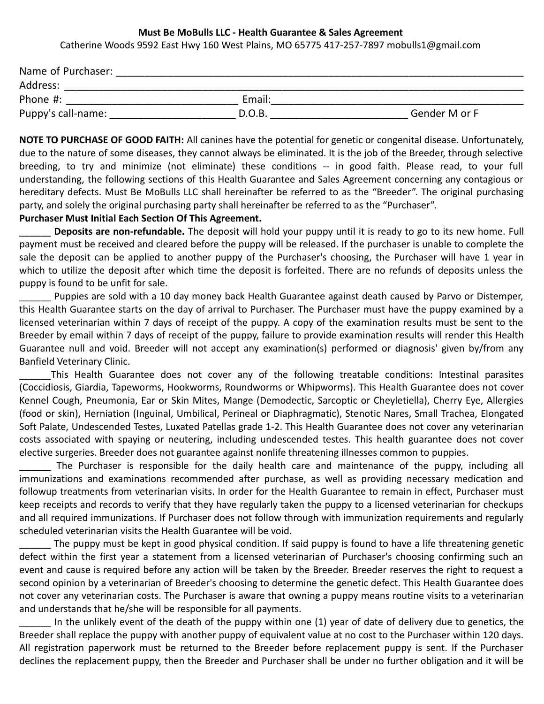## **Must Be MoBulls LLC - Health Guarantee & Sales Agreement**

Catherine Woods 9592 East Hwy 160 West Plains, MO 65775 417-257-7897 mobulls1@gmail.com

| Name of Purchaser: |        |               |
|--------------------|--------|---------------|
| Address:           |        |               |
| Phone #:           | Email: |               |
| Puppy's call-name: | D.O.B. | Gender M or F |

**NOTE TO PURCHASE OF GOOD FAITH:** All canines have the potential for genetic or congenital disease. Unfortunately, due to the nature of some diseases, they cannot always be eliminated. It is the job of the Breeder, through selective breeding, to try and minimize (not eliminate) these conditions -- in good faith. Please read, to your full understanding, the following sections of this Health Guarantee and Sales Agreement concerning any contagious or hereditary defects. Must Be MoBulls LLC shall hereinafter be referred to as the "Breeder". The original purchasing party, and solely the original purchasing party shall hereinafter be referred to as the "Purchaser".

## **Purchaser Must Initial Each Section Of This Agreement.**

\_\_\_\_\_\_ **Deposits are non-refundable.** The deposit will hold your puppy until it is ready to go to its new home. Full payment must be received and cleared before the puppy will be released. If the purchaser is unable to complete the sale the deposit can be applied to another puppy of the Purchaser's choosing, the Purchaser will have 1 year in which to utilize the deposit after which time the deposit is forfeited. There are no refunds of deposits unless the puppy is found to be unfit for sale.

Puppies are sold with a 10 day money back Health Guarantee against death caused by Parvo or Distemper, this Health Guarantee starts on the day of arrival to Purchaser. The Purchaser must have the puppy examined by a licensed veterinarian within 7 days of receipt of the puppy. A copy of the examination results must be sent to the Breeder by email within 7 days of receipt of the puppy, failure to provide examination results will render this Health Guarantee null and void. Breeder will not accept any examination(s) performed or diagnosis' given by/from any Banfield Veterinary Clinic.

This Health Guarantee does not cover any of the following treatable conditions: Intestinal parasites (Coccidiosis, Giardia, Tapeworms, Hookworms, Roundworms or Whipworms). This Health Guarantee does not cover Kennel Cough, Pneumonia, Ear or Skin Mites, Mange (Demodectic, Sarcoptic or Cheyletiella), Cherry Eye, Allergies (food or skin), Herniation (Inguinal, Umbilical, Perineal or Diaphragmatic), Stenotic Nares, Small Trachea, Elongated Soft Palate, Undescended Testes, Luxated Patellas grade 1-2. This Health Guarantee does not cover any veterinarian costs associated with spaying or neutering, including undescended testes. This health guarantee does not cover elective surgeries. Breeder does not guarantee against nonlife threatening illnesses common to puppies.

The Purchaser is responsible for the daily health care and maintenance of the puppy, including all immunizations and examinations recommended after purchase, as well as providing necessary medication and followup treatments from veterinarian visits. In order for the Health Guarantee to remain in effect, Purchaser must keep receipts and records to verify that they have regularly taken the puppy to a licensed veterinarian for checkups and all required immunizations. If Purchaser does not follow through with immunization requirements and regularly scheduled veterinarian visits the Health Guarantee will be void.

The puppy must be kept in good physical condition. If said puppy is found to have a life threatening genetic defect within the first year a statement from a licensed veterinarian of Purchaser's choosing confirming such an event and cause is required before any action will be taken by the Breeder. Breeder reserves the right to request a second opinion by a veterinarian of Breeder's choosing to determine the genetic defect. This Health Guarantee does not cover any veterinarian costs. The Purchaser is aware that owning a puppy means routine visits to a veterinarian and understands that he/she will be responsible for all payments.

In the unlikely event of the death of the puppy within one (1) year of date of delivery due to genetics, the Breeder shall replace the puppy with another puppy of equivalent value at no cost to the Purchaser within 120 days. All registration paperwork must be returned to the Breeder before replacement puppy is sent. If the Purchaser declines the replacement puppy, then the Breeder and Purchaser shall be under no further obligation and it will be